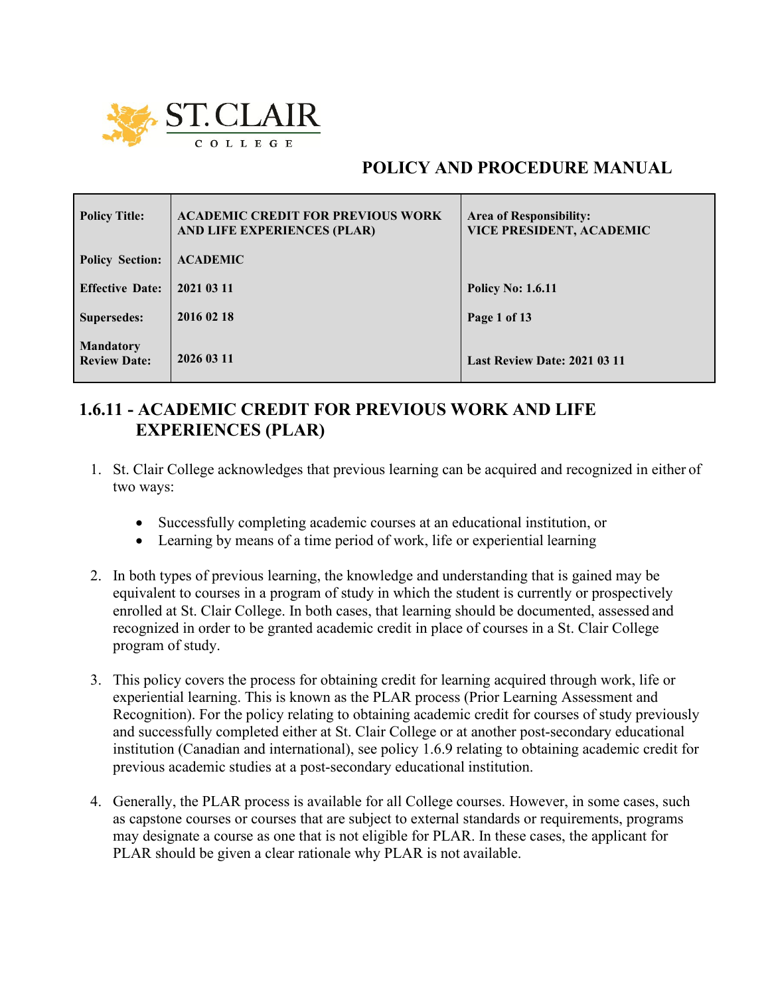

# **POLICY AND PROCEDURE MANUAL**

| <b>Policy Title:</b>                    | <b>ACADEMIC CREDIT FOR PREVIOUS WORK</b><br>AND LIFE EXPERIENCES (PLAR) | Area of Responsibility:<br><b>VICE PRESIDENT, ACADEMIC</b> |
|-----------------------------------------|-------------------------------------------------------------------------|------------------------------------------------------------|
| <b>Policy Section:</b>                  | <b>ACADEMIC</b>                                                         |                                                            |
| <b>Effective Date:</b>                  | 2021 03 11                                                              | <b>Policy No: 1.6.11</b>                                   |
| <b>Supersedes:</b>                      | 2016 02 18                                                              | Page 1 of 13                                               |
| <b>Mandatory</b><br><b>Review Date:</b> | 2026 03 11                                                              | Last Review Date: 2021 03 11                               |

# **1.6.11 - ACADEMIC CREDIT FOR PREVIOUS WORK AND LIFE EXPERIENCES (PLAR)**

- 1. St. Clair College acknowledges that previous learning can be acquired and recognized in either of two ways:
	- Successfully completing academic courses at an educational institution, or
	- Learning by means of a time period of work, life or experiential learning
- 2. In both types of previous learning, the knowledge and understanding that is gained may be equivalent to courses in a program of study in which the student is currently or prospectively enrolled at St. Clair College. In both cases, that learning should be documented, assessed and recognized in order to be granted academic credit in place of courses in a St. Clair College program of study.
- 3. This policy covers the process for obtaining credit for learning acquired through work, life or experiential learning. This is known as the PLAR process (Prior Learning Assessment and Recognition). For the policy relating to obtaining academic credit for courses of study previously and successfully completed either at St. Clair College or at another post-secondary educational institution (Canadian and international), see policy 1.6.9 relating to obtaining academic credit for previous academic studies at a post-secondary educational institution.
- 4. Generally, the PLAR process is available for all College courses. However, in some cases, such as capstone courses or courses that are subject to external standards or requirements, programs may designate a course as one that is not eligible for PLAR. In these cases, the applicant for PLAR should be given a clear rationale why PLAR is not available.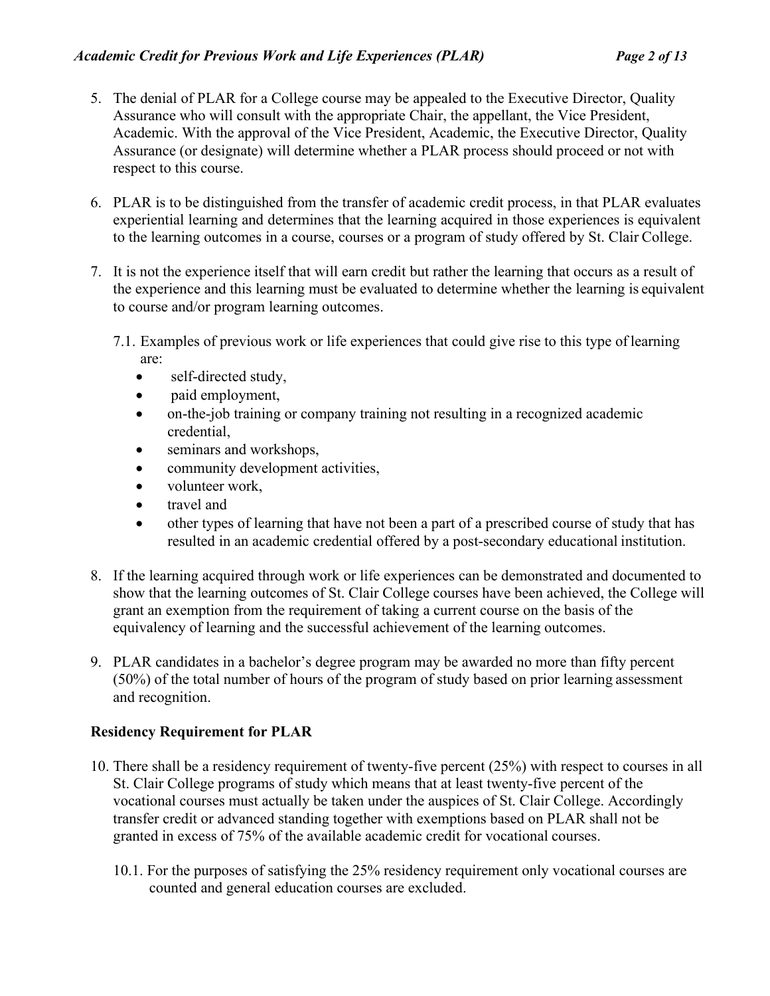- 5. The denial of PLAR for a College course may be appealed to the Executive Director, Quality Assurance who will consult with the appropriate Chair, the appellant, the Vice President, Academic. With the approval of the Vice President, Academic, the Executive Director, Quality Assurance (or designate) will determine whether a PLAR process should proceed or not with respect to this course.
- 6. PLAR is to be distinguished from the transfer of academic credit process, in that PLAR evaluates experiential learning and determines that the learning acquired in those experiences is equivalent to the learning outcomes in a course, courses or a program of study offered by St. Clair College.
- 7. It is not the experience itself that will earn credit but rather the learning that occurs as a result of the experience and this learning must be evaluated to determine whether the learning is equivalent to course and/or program learning outcomes.
	- 7.1. Examples of previous work or life experiences that could give rise to this type of learning are:
		- self-directed study,
		- paid employment,
		- on-the-job training or company training not resulting in a recognized academic credential,
		- seminars and workshops,
		- community development activities,
		- volunteer work,
		- travel and
		- other types of learning that have not been a part of a prescribed course of study that has resulted in an academic credential offered by a post-secondary educational institution.
- 8. If the learning acquired through work or life experiences can be demonstrated and documented to show that the learning outcomes of St. Clair College courses have been achieved, the College will grant an exemption from the requirement of taking a current course on the basis of the equivalency of learning and the successful achievement of the learning outcomes.
- 9. PLAR candidates in a bachelor's degree program may be awarded no more than fifty percent (50%) of the total number of hours of the program of study based on prior learning assessment and recognition.

# **Residency Requirement for PLAR**

- 10. There shall be a residency requirement of twenty-five percent (25%) with respect to courses in all St. Clair College programs of study which means that at least twenty-five percent of the vocational courses must actually be taken under the auspices of St. Clair College. Accordingly transfer credit or advanced standing together with exemptions based on PLAR shall not be granted in excess of 75% of the available academic credit for vocational courses.
	- 10.1. For the purposes of satisfying the 25% residency requirement only vocational courses are counted and general education courses are excluded.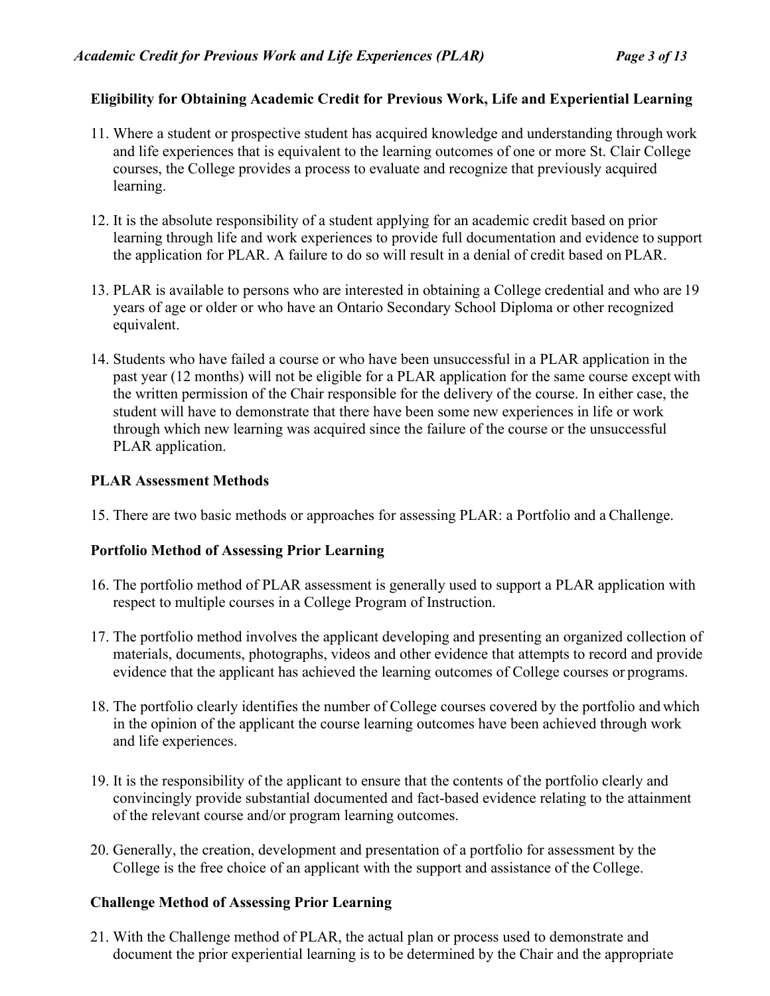# **Eligibility for Obtaining Academic Credit for Previous Work, Life and Experiential Learning**

- 11. Where a student or prospective student has acquired knowledge and understanding through work and life experiences that is equivalent to the learning outcomes of one or more St. Clair College courses, the College provides a process to evaluate and recognize that previously acquired learning.
- 12. It is the absolute responsibility of a student applying for an academic credit based on prior learning through life and work experiences to provide full documentation and evidence to support the application for PLAR. A failure to do so will result in a denial of credit based on PLAR.
- 13. PLAR is available to persons who are interested in obtaining a College credential and who are 19 years of age or older or who have an Ontario Secondary School Diploma or other recognized equivalent.
- 14. Students who have failed a course or who have been unsuccessful in a PLAR application in the past year (12 months) will not be eligible for a PLAR application for the same course except with the written permission of the Chair responsible for the delivery of the course. In either case, the student will have to demonstrate that there have been some new experiences in life or work through which new learning was acquired since the failure of the course or the unsuccessful PLAR application.

### **PLAR Assessment Methods**

15. There are two basic methods or approaches for assessing PLAR: a Portfolio and a Challenge.

# **Portfolio Method of Assessing Prior Learning**

- 16. The portfolio method of PLAR assessment is generally used to support a PLAR application with respect to multiple courses in a College Program of Instruction.
- 17. The portfolio method involves the applicant developing and presenting an organized collection of materials, documents, photographs, videos and other evidence that attempts to record and provide evidence that the applicant has achieved the learning outcomes of College courses or programs.
- 18. The portfolio clearly identifies the number of College courses covered by the portfolio and which in the opinion of the applicant the course learning outcomes have been achieved through work and life experiences.
- 19. It is the responsibility of the applicant to ensure that the contents of the portfolio clearly and convincingly provide substantial documented and fact-based evidence relating to the attainment of the relevant course and/or program learning outcomes.
- 20. Generally, the creation, development and presentation of a portfolio for assessment by the College is the free choice of an applicant with the support and assistance of the College.

# **Challenge Method of Assessing Prior Learning**

21. With the Challenge method of PLAR, the actual plan or process used to demonstrate and document the prior experiential learning is to be determined by the Chair and the appropriate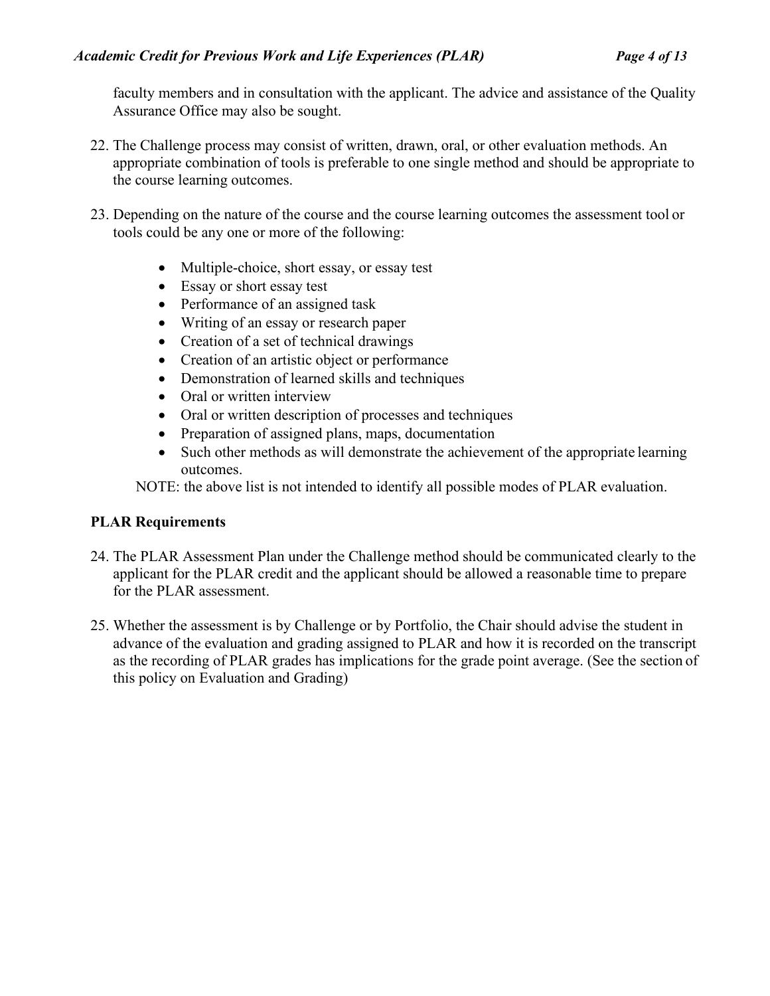faculty members and in consultation with the applicant. The advice and assistance of the Quality Assurance Office may also be sought.

- 22. The Challenge process may consist of written, drawn, oral, or other evaluation methods. An appropriate combination of tools is preferable to one single method and should be appropriate to the course learning outcomes.
- 23. Depending on the nature of the course and the course learning outcomes the assessment tool or tools could be any one or more of the following:
	- Multiple-choice, short essay, or essay test
	- Essay or short essay test
	- Performance of an assigned task
	- Writing of an essay or research paper
	- Creation of a set of technical drawings
	- Creation of an artistic object or performance
	- Demonstration of learned skills and techniques
	- Oral or written interview
	- Oral or written description of processes and techniques
	- Preparation of assigned plans, maps, documentation
	- Such other methods as will demonstrate the achievement of the appropriate learning outcomes.

NOTE: the above list is not intended to identify all possible modes of PLAR evaluation.

# **PLAR Requirements**

- 24. The PLAR Assessment Plan under the Challenge method should be communicated clearly to the applicant for the PLAR credit and the applicant should be allowed a reasonable time to prepare for the PLAR assessment.
- 25. Whether the assessment is by Challenge or by Portfolio, the Chair should advise the student in advance of the evaluation and grading assigned to PLAR and how it is recorded on the transcript as the recording of PLAR grades has implications for the grade point average. (See the section of this policy on Evaluation and Grading)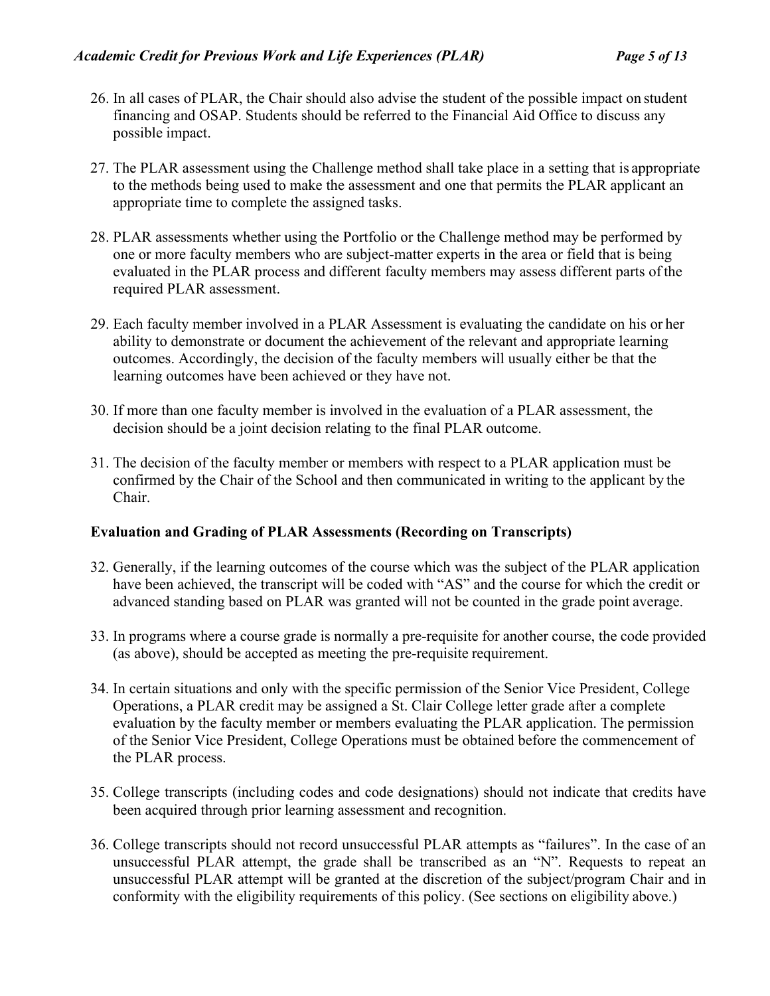- 26. In all cases of PLAR, the Chair should also advise the student of the possible impact on student financing and OSAP. Students should be referred to the Financial Aid Office to discuss any possible impact.
- 27. The PLAR assessment using the Challenge method shall take place in a setting that is appropriate to the methods being used to make the assessment and one that permits the PLAR applicant an appropriate time to complete the assigned tasks.
- 28. PLAR assessments whether using the Portfolio or the Challenge method may be performed by one or more faculty members who are subject-matter experts in the area or field that is being evaluated in the PLAR process and different faculty members may assess different parts ofthe required PLAR assessment.
- 29. Each faculty member involved in a PLAR Assessment is evaluating the candidate on his or her ability to demonstrate or document the achievement of the relevant and appropriate learning outcomes. Accordingly, the decision of the faculty members will usually either be that the learning outcomes have been achieved or they have not.
- 30. If more than one faculty member is involved in the evaluation of a PLAR assessment, the decision should be a joint decision relating to the final PLAR outcome.
- 31. The decision of the faculty member or members with respect to a PLAR application must be confirmed by the Chair of the School and then communicated in writing to the applicant by the Chair.

#### **Evaluation and Grading of PLAR Assessments (Recording on Transcripts)**

- 32. Generally, if the learning outcomes of the course which was the subject of the PLAR application have been achieved, the transcript will be coded with "AS" and the course for which the credit or advanced standing based on PLAR was granted will not be counted in the grade point average.
- 33. In programs where a course grade is normally a pre-requisite for another course, the code provided (as above), should be accepted as meeting the pre-requisite requirement.
- 34. In certain situations and only with the specific permission of the Senior Vice President, College Operations, a PLAR credit may be assigned a St. Clair College letter grade after a complete evaluation by the faculty member or members evaluating the PLAR application. The permission of the Senior Vice President, College Operations must be obtained before the commencement of the PLAR process.
- 35. College transcripts (including codes and code designations) should not indicate that credits have been acquired through prior learning assessment and recognition.
- 36. College transcripts should not record unsuccessful PLAR attempts as "failures". In the case of an unsuccessful PLAR attempt, the grade shall be transcribed as an "N". Requests to repeat an unsuccessful PLAR attempt will be granted at the discretion of the subject/program Chair and in conformity with the eligibility requirements of this policy. (See sections on eligibility above.)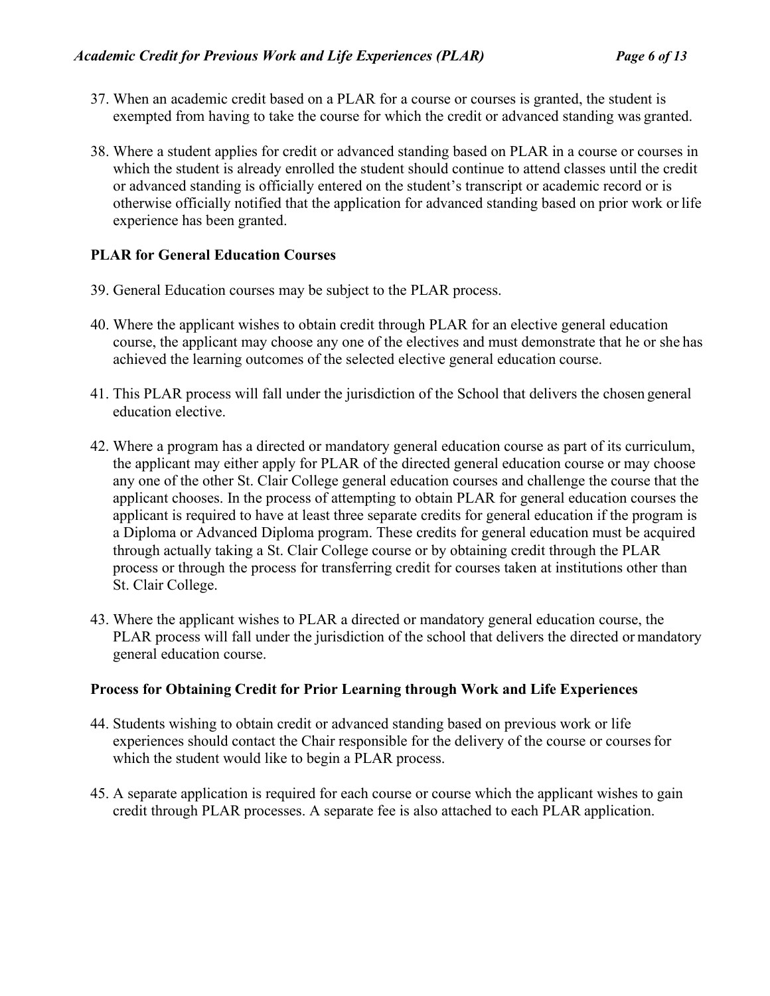- 37. When an academic credit based on a PLAR for a course or courses is granted, the student is exempted from having to take the course for which the credit or advanced standing was granted.
- 38. Where a student applies for credit or advanced standing based on PLAR in a course or courses in which the student is already enrolled the student should continue to attend classes until the credit or advanced standing is officially entered on the student's transcript or academic record or is otherwise officially notified that the application for advanced standing based on prior work or life experience has been granted.

### **PLAR for General Education Courses**

- 39. General Education courses may be subject to the PLAR process.
- 40. Where the applicant wishes to obtain credit through PLAR for an elective general education course, the applicant may choose any one of the electives and must demonstrate that he or she has achieved the learning outcomes of the selected elective general education course.
- 41. This PLAR process will fall under the jurisdiction of the School that delivers the chosen general education elective.
- 42. Where a program has a directed or mandatory general education course as part of its curriculum, the applicant may either apply for PLAR of the directed general education course or may choose any one of the other St. Clair College general education courses and challenge the course that the applicant chooses. In the process of attempting to obtain PLAR for general education courses the applicant is required to have at least three separate credits for general education if the program is a Diploma or Advanced Diploma program. These credits for general education must be acquired through actually taking a St. Clair College course or by obtaining credit through the PLAR process or through the process for transferring credit for courses taken at institutions other than St. Clair College.
- 43. Where the applicant wishes to PLAR a directed or mandatory general education course, the PLAR process will fall under the jurisdiction of the school that delivers the directed or mandatory general education course.

#### **Process for Obtaining Credit for Prior Learning through Work and Life Experiences**

- 44. Students wishing to obtain credit or advanced standing based on previous work or life experiences should contact the Chair responsible for the delivery of the course or coursesfor which the student would like to begin a PLAR process.
- 45. A separate application is required for each course or course which the applicant wishes to gain credit through PLAR processes. A separate fee is also attached to each PLAR application.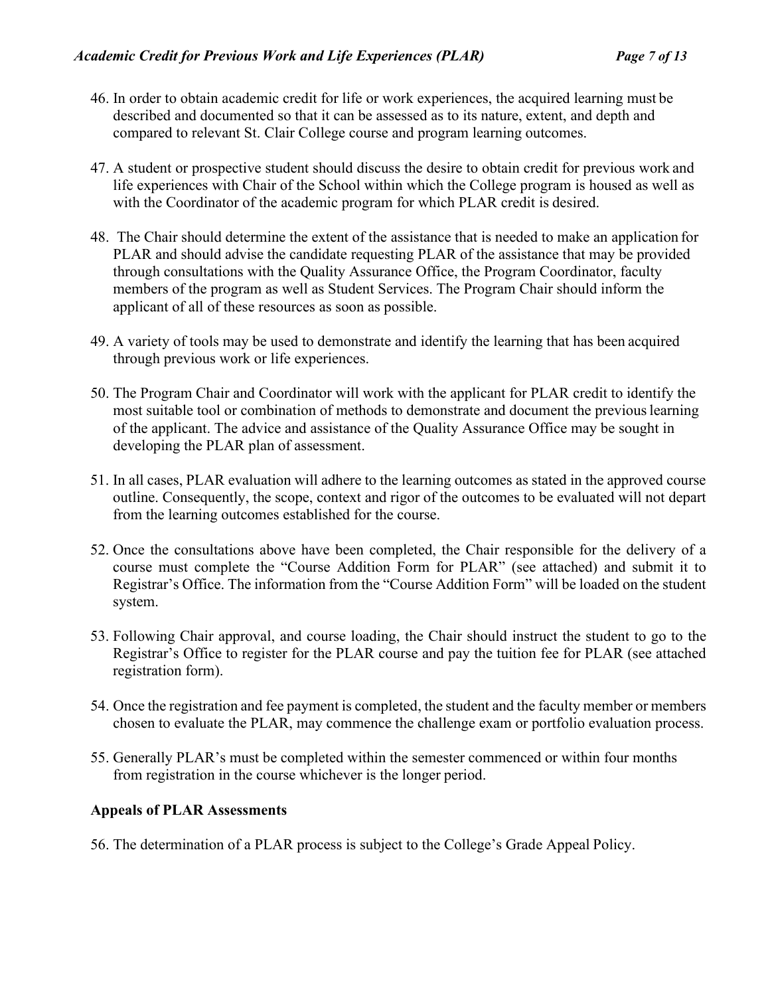- 46. In order to obtain academic credit for life or work experiences, the acquired learning must be described and documented so that it can be assessed as to its nature, extent, and depth and compared to relevant St. Clair College course and program learning outcomes.
- 47. A student or prospective student should discuss the desire to obtain credit for previous work and life experiences with Chair of the School within which the College program is housed as well as with the Coordinator of the academic program for which PLAR credit is desired.
- 48. The Chair should determine the extent of the assistance that is needed to make an application for PLAR and should advise the candidate requesting PLAR of the assistance that may be provided through consultations with the Quality Assurance Office, the Program Coordinator, faculty members of the program as well as Student Services. The Program Chair should inform the applicant of all of these resources as soon as possible.
- 49. A variety of tools may be used to demonstrate and identify the learning that has been acquired through previous work or life experiences.
- 50. The Program Chair and Coordinator will work with the applicant for PLAR credit to identify the most suitable tool or combination of methods to demonstrate and document the previouslearning of the applicant. The advice and assistance of the Quality Assurance Office may be sought in developing the PLAR plan of assessment.
- 51. In all cases, PLAR evaluation will adhere to the learning outcomes as stated in the approved course outline. Consequently, the scope, context and rigor of the outcomes to be evaluated will not depart from the learning outcomes established for the course.
- 52. Once the consultations above have been completed, the Chair responsible for the delivery of a course must complete the "Course Addition Form for PLAR" (see attached) and submit it to Registrar's Office. The information from the "Course Addition Form" will be loaded on the student system.
- 53. Following Chair approval, and course loading, the Chair should instruct the student to go to the Registrar's Office to register for the PLAR course and pay the tuition fee for PLAR (see attached registration form).
- 54. Once the registration and fee payment is completed, the student and the faculty member or members chosen to evaluate the PLAR, may commence the challenge exam or portfolio evaluation process.
- 55. Generally PLAR's must be completed within the semester commenced or within four months from registration in the course whichever is the longer period.

# **Appeals of PLAR Assessments**

56. The determination of a PLAR process is subject to the College's Grade Appeal Policy.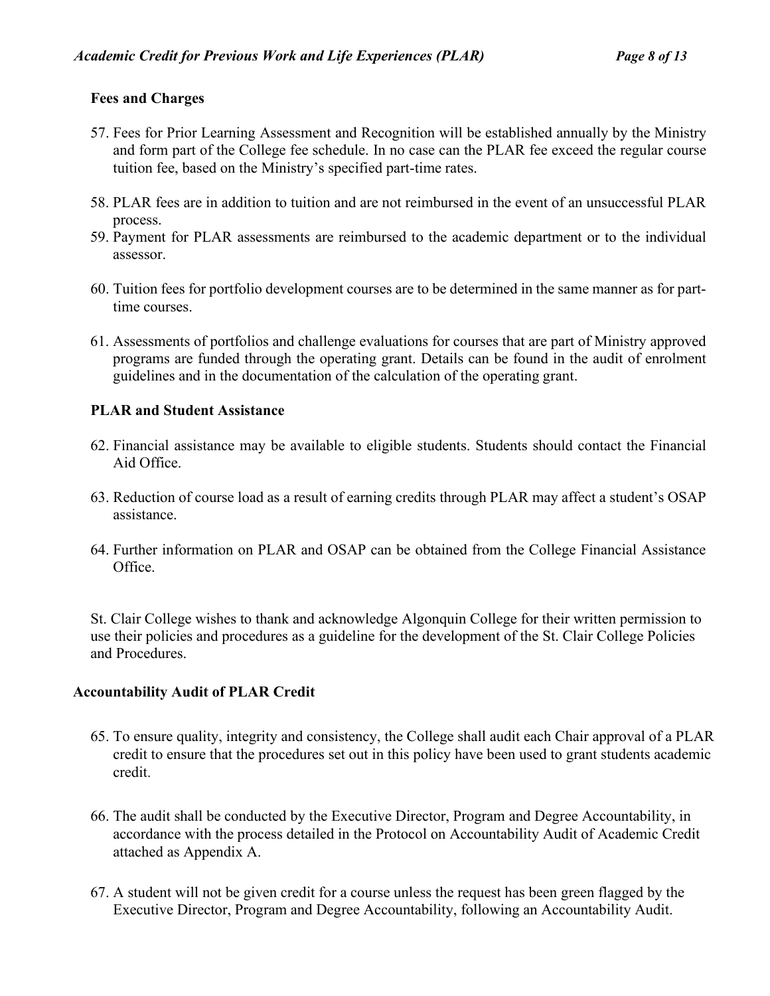### **Fees and Charges**

- 57. Fees for Prior Learning Assessment and Recognition will be established annually by the Ministry and form part of the College fee schedule. In no case can the PLAR fee exceed the regular course tuition fee, based on the Ministry's specified part-time rates.
- 58. PLAR fees are in addition to tuition and are not reimbursed in the event of an unsuccessful PLAR process.
- 59. Payment for PLAR assessments are reimbursed to the academic department or to the individual assessor.
- 60. Tuition fees for portfolio development courses are to be determined in the same manner as for parttime courses.
- 61. Assessments of portfolios and challenge evaluations for courses that are part of Ministry approved programs are funded through the operating grant. Details can be found in the audit of enrolment guidelines and in the documentation of the calculation of the operating grant.

### **PLAR and Student Assistance**

- 62. Financial assistance may be available to eligible students. Students should contact the Financial Aid Office.
- 63. Reduction of course load as a result of earning credits through PLAR may affect a student's OSAP assistance.
- 64. Further information on PLAR and OSAP can be obtained from the College Financial Assistance Office.

St. Clair College wishes to thank and acknowledge Algonquin College for their written permission to use their policies and procedures as a guideline for the development of the St. Clair College Policies and Procedures.

#### **Accountability Audit of PLAR Credit**

- 65. To ensure quality, integrity and consistency, the College shall audit each Chair approval of a PLAR credit to ensure that the procedures set out in this policy have been used to grant students academic credit.
- 66. The audit shall be conducted by the Executive Director, Program and Degree Accountability, in accordance with the process detailed in the Protocol on Accountability Audit of Academic Credit attached as Appendix A.
- 67. A student will not be given credit for a course unless the request has been green flagged by the Executive Director, Program and Degree Accountability, following an Accountability Audit.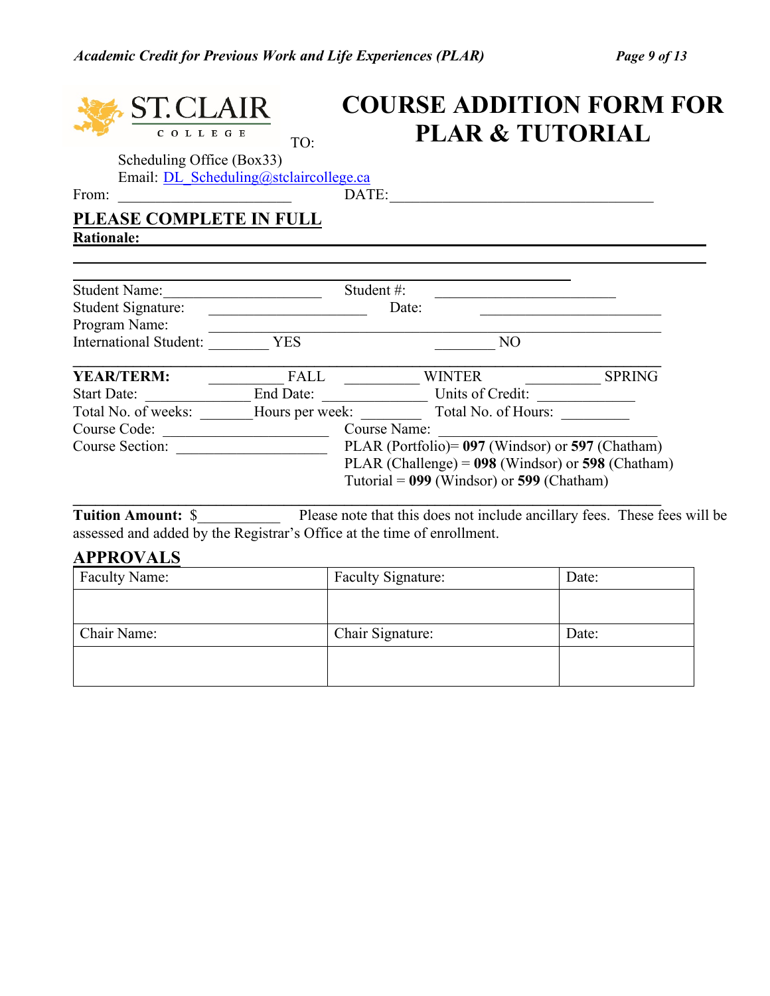# **COURSE ADDITION FORM FOR PLAR & TUTORIAL**COLLEGE TO: Scheduling Office (Box33) Email: [DL\\_Scheduling@stclaircollege.ca](mailto:DL_Scheduling@stclaircollege.ca) From: \_\_\_\_\_\_\_\_\_\_\_\_\_\_\_\_\_\_\_\_\_\_\_ DATE:\_\_\_\_\_\_\_\_\_\_\_\_\_\_\_\_\_\_\_\_\_\_\_\_\_\_\_\_\_\_\_\_\_\_\_ **PLEASE COMPLETE IN FULL Rationale:** Student Name:\_\_\_\_\_\_\_\_\_\_\_\_\_\_\_\_\_\_\_\_\_ Student #: \_\_\_\_\_\_\_\_\_\_\_\_\_\_\_\_\_\_\_\_\_\_\_\_ Student Signature: \_\_\_\_\_\_\_\_\_\_\_\_\_\_\_\_\_\_\_\_\_ Date: \_\_\_\_\_\_\_\_\_\_\_\_\_\_\_\_\_\_\_\_\_\_\_\_ Program Name: \_\_\_\_\_\_\_\_\_\_\_\_\_\_\_\_\_\_\_\_\_\_\_\_\_\_\_\_\_\_\_\_\_\_\_\_\_\_\_\_\_\_\_\_\_\_\_\_\_\_\_\_\_\_\_\_\_\_\_\_ International Student: \_\_\_\_\_\_\_\_\_ YES \_\_\_\_\_\_\_\_\_ NO **\_\_\_\_\_\_\_\_\_\_\_\_\_\_\_\_\_\_\_\_\_\_\_\_\_\_\_\_\_\_\_\_\_\_\_\_\_\_\_\_\_\_\_\_\_\_\_\_\_\_\_\_\_\_\_\_\_\_\_\_\_\_\_\_\_\_\_\_\_\_\_\_\_\_\_\_\_\_ YEAR/TERM:** \_\_\_\_\_\_\_\_\_\_ FALL \_\_\_\_\_\_\_\_\_\_ WINTER \_\_\_\_\_\_\_\_\_\_ SPRING Start Date: \_\_\_\_\_\_\_\_\_\_\_\_\_\_ End Date: \_\_\_\_\_\_\_\_\_\_\_\_\_\_ Units of Credit: \_\_\_\_\_\_\_\_\_\_\_\_\_

| Student Name:                                                                                                  |                 | Student #:                                                                                                                                                                                                                  |                   |
|----------------------------------------------------------------------------------------------------------------|-----------------|-----------------------------------------------------------------------------------------------------------------------------------------------------------------------------------------------------------------------------|-------------------|
| Student Signature:                                                                                             |                 | Date:                                                                                                                                                                                                                       |                   |
| Program Name:                                                                                                  |                 |                                                                                                                                                                                                                             |                   |
| <b>International Student:</b>                                                                                  | YES             | N <sub>O</sub>                                                                                                                                                                                                              |                   |
| <b>YEAR/TERM:</b>                                                                                              | FALL            | <b>WINTER</b>                                                                                                                                                                                                               | <b>SPRING</b>     |
| <b>Start Date:</b>                                                                                             | End Date:       | Units of Credit:                                                                                                                                                                                                            |                   |
| Total No. of weeks:                                                                                            | Hours per week: | Total No. of Hours:                                                                                                                                                                                                         |                   |
| Course Code:                                                                                                   |                 | <b>Course Name:</b>                                                                                                                                                                                                         |                   |
| Course Section:                                                                                                |                 | PLAR (Portfolio) = 097 (Windsor) or 597 (Chatham)                                                                                                                                                                           |                   |
|                                                                                                                |                 | PLAR (Challenge) = $098$ (Windsor) or 598 (Chatham)                                                                                                                                                                         |                   |
|                                                                                                                |                 | Tutorial = $099$ (Windsor) or 599 (Chatham)                                                                                                                                                                                 |                   |
| martin 1990 - Andre 1990 - Andre 1990 - Andre 1990 - Andre 1990 - Andre 1990 - Andre 1990 - Andre 1990 - Andre |                 | $P1$ and $P1$ in $P$ in $P$ in $P$ in $P$ in $P$ in $P$ in $P$ in $P$ in $P$ in $P$ in $P$ in $P$ in $P$ in $P$ in $P$ in $P$ in $P$ in $P$ in $P$ in $P$ in $P$ in $P$ in $P$ in $P$ in $P$ in $P$ in $P$ in $P$ in $P$ in | $\Gamma$ $\Gamma$ |

**Tuition Amount:** \$\_\_\_\_\_\_\_\_\_\_\_\_\_ Please note that this does not include ancillary fees. These fees will be assessed and added by the Registrar's Office at the time of enrollment.

# **APPROVALS**

| APPROVALS            |                           |       |  |  |  |
|----------------------|---------------------------|-------|--|--|--|
| <b>Faculty Name:</b> | <b>Faculty Signature:</b> | Date: |  |  |  |
|                      |                           |       |  |  |  |
|                      |                           |       |  |  |  |
| Chair Name:          | Chair Signature:          | Date: |  |  |  |
|                      |                           |       |  |  |  |
|                      |                           |       |  |  |  |
|                      |                           |       |  |  |  |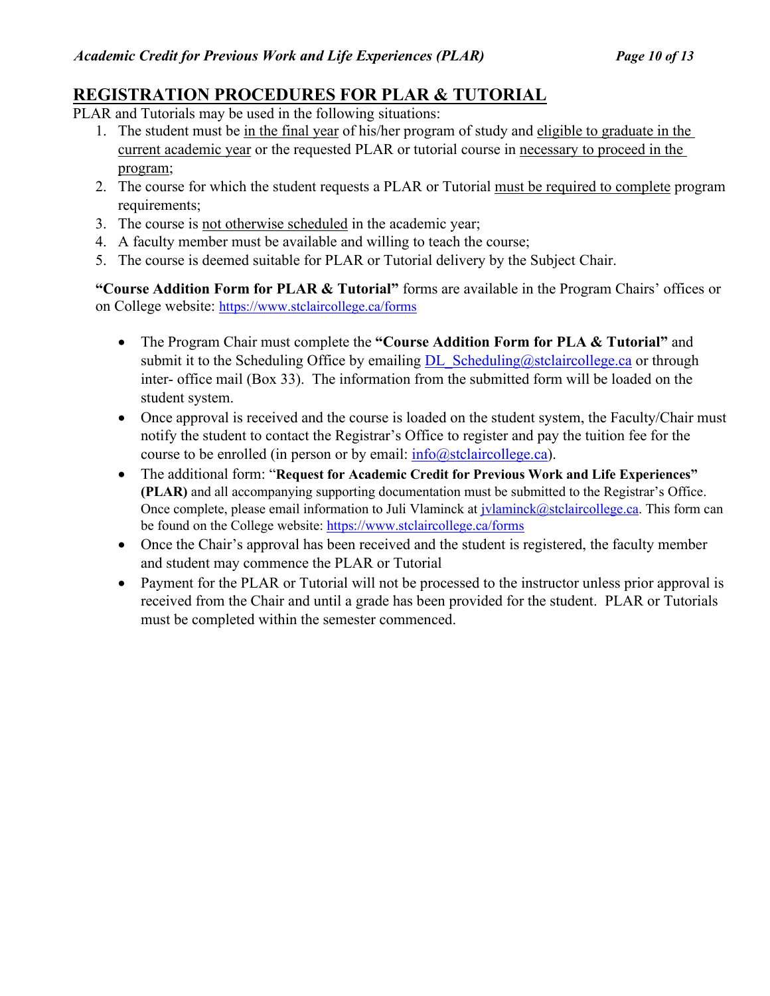# **REGISTRATION PROCEDURES FOR PLAR & TUTORIAL**

- PLAR and Tutorials may be used in the following situations:
	- 1. The student must be in the final year of his/her program of study and eligible to graduate in the current academic year or the requested PLAR or tutorial course in necessary to proceed in the program;
	- 2. The course for which the student requests a PLAR or Tutorial must be required to complete program requirements;
	- 3. The course is not otherwise scheduled in the academic year;
	- 4. A faculty member must be available and willing to teach the course;
	- 5. The course is deemed suitable for PLAR or Tutorial delivery by the Subject Chair.

**"Course Addition Form for PLAR & Tutorial"** forms are available in the Program Chairs' offices or on College website:<https://www.stclaircollege.ca/forms>

- The Program Chair must complete the **"Course Addition Form for PLA & Tutorial"** and submit it to the Scheduling Office by emailing  $DL$  Scheduling@stclaircollege.ca or through inter- office mail (Box 33). The information from the submitted form will be loaded on the student system.
- Once approval is received and the course is loaded on the student system, the Faculty/Chair must notify the student to contact the Registrar's Office to register and pay the tuition fee for the course to be enrolled (in person or by email:  $info@stclair college.ca)$ .
- The additional form: "**Request for Academic Credit for Previous Work and Life Experiences" (PLAR)** and all accompanying supporting documentation must be submitted to the Registrar's Office. Once complete, please email information to Juli Vlaminck at *jvlaminck@stclaircollege.ca*. This form can be found on the College website:<https://www.stclaircollege.ca/forms>
- Once the Chair's approval has been received and the student is registered, the faculty member and student may commence the PLAR or Tutorial
- Payment for the PLAR or Tutorial will not be processed to the instructor unless prior approval is received from the Chair and until a grade has been provided for the student. PLAR or Tutorials must be completed within the semester commenced.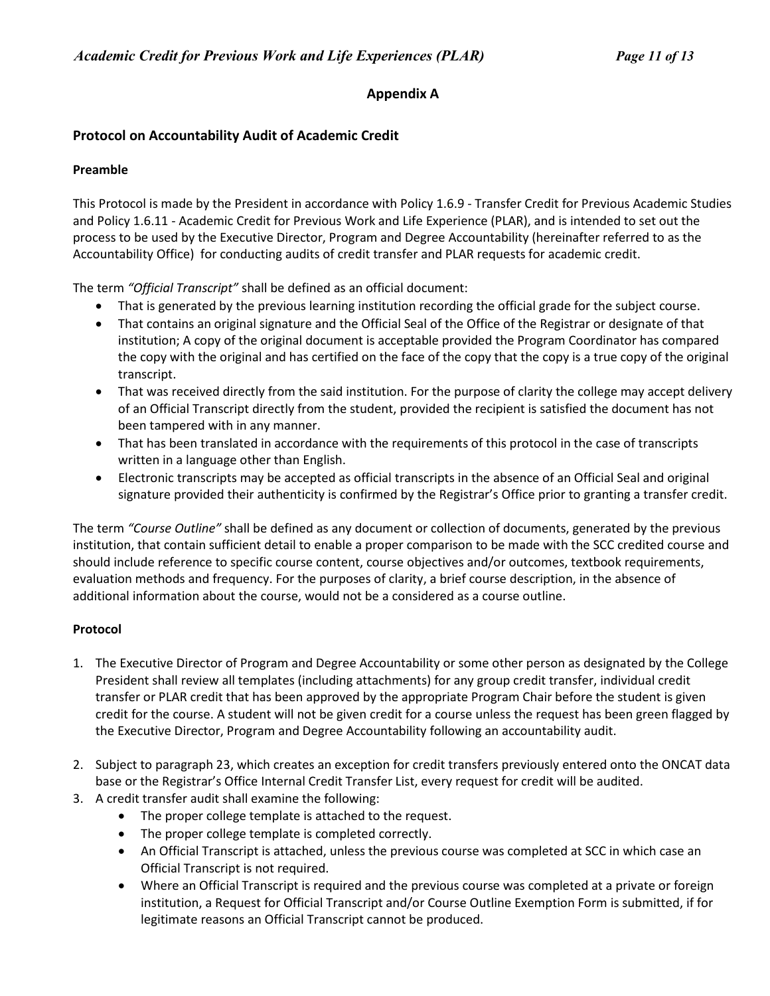### **Appendix A**

#### **Protocol on Accountability Audit of Academic Credit**

#### **Preamble**

This Protocol is made by the President in accordance with Policy 1.6.9 - Transfer Credit for Previous Academic Studies and Policy 1.6.11 - Academic Credit for Previous Work and Life Experience (PLAR), and is intended to set out the process to be used by the Executive Director, Program and Degree Accountability (hereinafter referred to as the Accountability Office) for conducting audits of credit transfer and PLAR requests for academic credit.

The term *"Official Transcript"* shall be defined as an official document:

- That is generated by the previous learning institution recording the official grade for the subject course.
- That contains an original signature and the Official Seal of the Office of the Registrar or designate of that institution; A copy of the original document is acceptable provided the Program Coordinator has compared the copy with the original and has certified on the face of the copy that the copy is a true copy of the original transcript.
- That was received directly from the said institution. For the purpose of clarity the college may accept delivery of an Official Transcript directly from the student, provided the recipient is satisfied the document has not been tampered with in any manner.
- That has been translated in accordance with the requirements of this protocol in the case of transcripts written in a language other than English.
- Electronic transcripts may be accepted as official transcripts in the absence of an Official Seal and original signature provided their authenticity is confirmed by the Registrar's Office prior to granting a transfer credit.

The term *"Course Outline"* shall be defined as any document or collection of documents, generated by the previous institution, that contain sufficient detail to enable a proper comparison to be made with the SCC credited course and should include reference to specific course content, course objectives and/or outcomes, textbook requirements, evaluation methods and frequency. For the purposes of clarity, a brief course description, in the absence of additional information about the course, would not be a considered as a course outline.

#### **Protocol**

- 1. The Executive Director of Program and Degree Accountability or some other person as designated by the College President shall review all templates (including attachments) for any group credit transfer, individual credit transfer or PLAR credit that has been approved by the appropriate Program Chair before the student is given credit for the course. A student will not be given credit for a course unless the request has been green flagged by the Executive Director, Program and Degree Accountability following an accountability audit.
- 2. Subject to paragraph 23, which creates an exception for credit transfers previously entered onto the ONCAT data base or the Registrar's Office Internal Credit Transfer List, every request for credit will be audited.
- 3. A credit transfer audit shall examine the following:
	- The proper college template is attached to the request.
	- The proper college template is completed correctly.
	- An Official Transcript is attached, unless the previous course was completed at SCC in which case an Official Transcript is not required.
	- Where an Official Transcript is required and the previous course was completed at a private or foreign institution, a Request for Official Transcript and/or Course Outline Exemption Form is submitted, if for legitimate reasons an Official Transcript cannot be produced.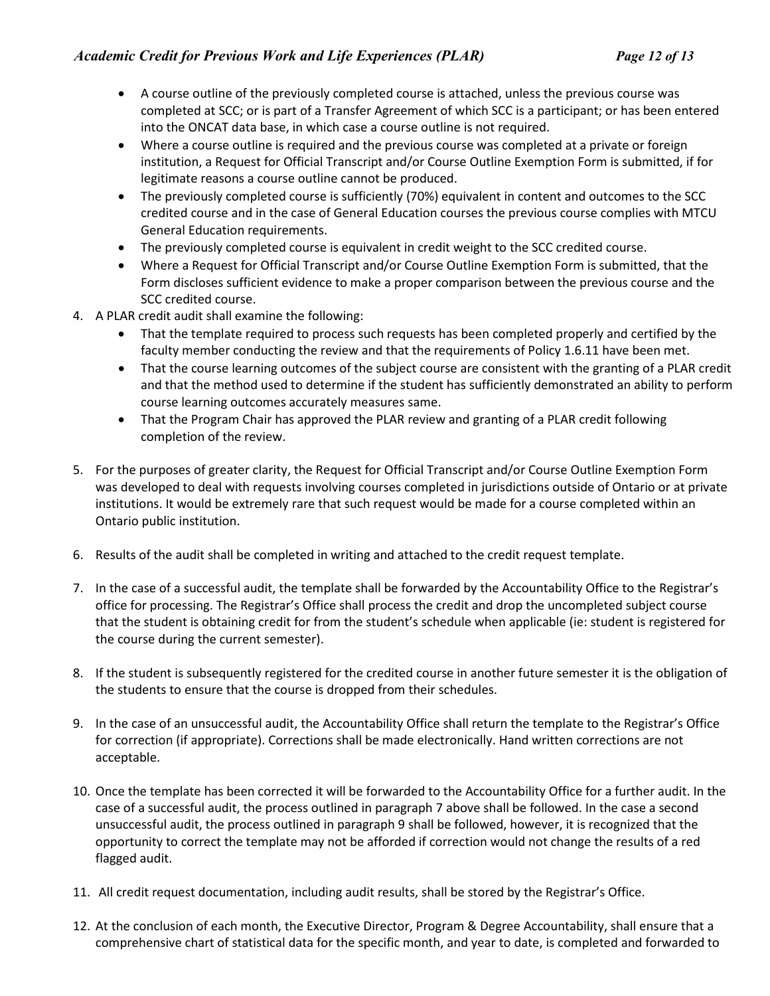- A course outline of the previously completed course is attached, unless the previous course was completed at SCC; or is part of a Transfer Agreement of which SCC is a participant; or has been entered into the ONCAT data base, in which case a course outline is not required.
- Where a course outline is required and the previous course was completed at a private or foreign institution, a Request for Official Transcript and/or Course Outline Exemption Form is submitted, if for legitimate reasons a course outline cannot be produced.
- The previously completed course is sufficiently (70%) equivalent in content and outcomes to the SCC credited course and in the case of General Education courses the previous course complies with MTCU General Education requirements.
- The previously completed course is equivalent in credit weight to the SCC credited course.
- Where a Request for Official Transcript and/or Course Outline Exemption Form is submitted, that the Form discloses sufficient evidence to make a proper comparison between the previous course and the SCC credited course.
- 4. A PLAR credit audit shall examine the following:
	- That the template required to process such requests has been completed properly and certified by the faculty member conducting the review and that the requirements of Policy 1.6.11 have been met.
	- That the course learning outcomes of the subject course are consistent with the granting of a PLAR credit and that the method used to determine if the student has sufficiently demonstrated an ability to perform course learning outcomes accurately measures same.
	- That the Program Chair has approved the PLAR review and granting of a PLAR credit following completion of the review.
- 5. For the purposes of greater clarity, the Request for Official Transcript and/or Course Outline Exemption Form was developed to deal with requests involving courses completed in jurisdictions outside of Ontario or at private institutions. It would be extremely rare that such request would be made for a course completed within an Ontario public institution.
- 6. Results of the audit shall be completed in writing and attached to the credit request template.
- 7. In the case of a successful audit, the template shall be forwarded by the Accountability Office to the Registrar's office for processing. The Registrar's Office shall process the credit and drop the uncompleted subject course that the student is obtaining credit for from the student's schedule when applicable (ie: student is registered for the course during the current semester).
- 8. If the student is subsequently registered for the credited course in another future semester it is the obligation of the students to ensure that the course is dropped from their schedules.
- 9. In the case of an unsuccessful audit, the Accountability Office shall return the template to the Registrar's Office for correction (if appropriate). Corrections shall be made electronically. Hand written corrections are not acceptable.
- 10. Once the template has been corrected it will be forwarded to the Accountability Office for a further audit. In the case of a successful audit, the process outlined in paragraph 7 above shall be followed. In the case a second unsuccessful audit, the process outlined in paragraph 9 shall be followed, however, it is recognized that the opportunity to correct the template may not be afforded if correction would not change the results of a red flagged audit.
- 11. All credit request documentation, including audit results, shall be stored by the Registrar's Office.
- 12. At the conclusion of each month, the Executive Director, Program & Degree Accountability, shall ensure that a comprehensive chart of statistical data for the specific month, and year to date, is completed and forwarded to